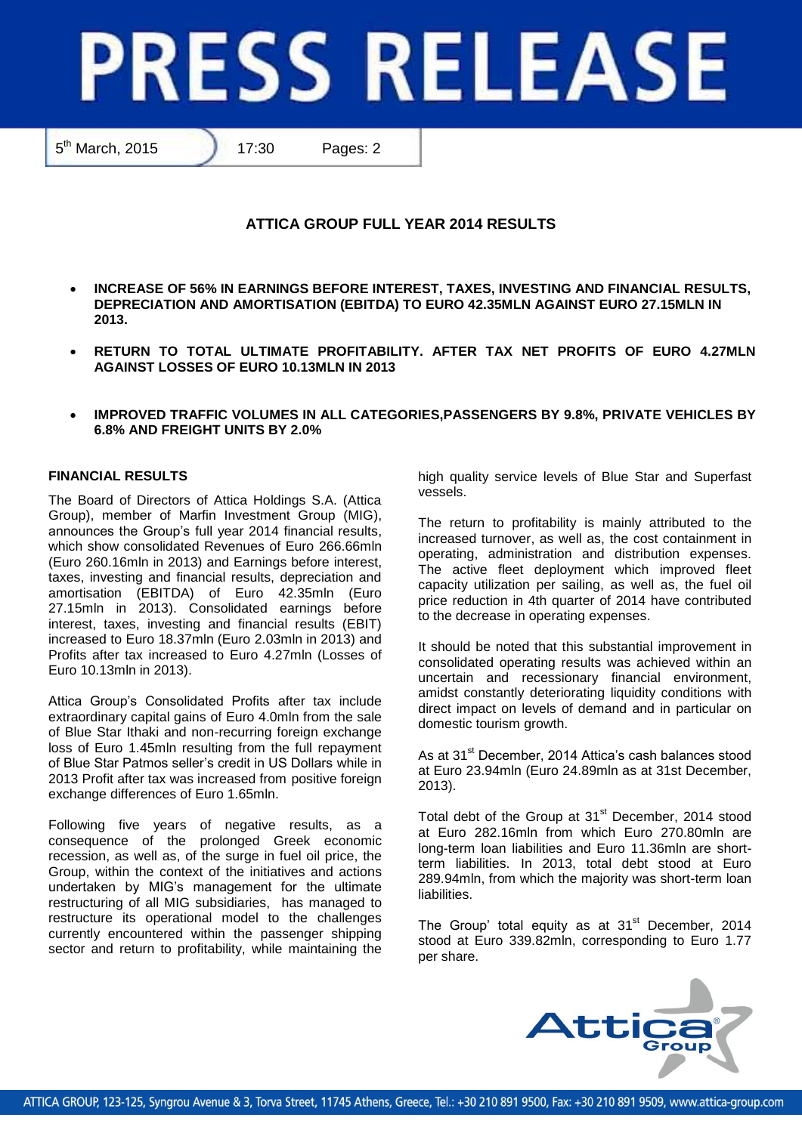# **PRESS RELEASE**

5<sup>th</sup> March, 2015 **17:30** Pages: 2

# **ATTICA GROUP FULL YEAR 2014 RESULTS**

- **INCREASE OF 56% IN EARNINGS BEFORE INTEREST, TAXES, INVESTING AND FINANCIAL RESULTS, DEPRECIATION AND AMORTISATION (EBITDA) TO EURO 42.35MLN AGAINST EURO 27.15MLN IN 2013.**
- **RETURN TO TOTAL ULTIMATE PROFITABILITY. AFTER TAX NET PROFITS OF EURO 4.27MLN AGAINST LOSSES OF EURO 10.13MLN IN 2013**
- **IMPROVED TRAFFIC VOLUMES IN ALL CATEGORIES,PASSENGERS BY 9.8%, PRIVATE VEHICLES BY 6.8% AND FREIGHT UNITS BY 2.0%**

# **FINANCIAL RESULTS**

The Board of Directors of Attica Holdings S.A. (Attica Group), member of Marfin Investment Group (MIG), announces the Group's full year 2014 financial results, which show consolidated Revenues of Euro 266.66mln (Euro 260.16mln in 2013) and Earnings before interest, taxes, investing and financial results, depreciation and amortisation (EBITDA) of Euro 42.35mln (Euro 27.15mln in 2013). Consolidated earnings before interest, taxes, investing and financial results (EBIT) increased to Euro 18.37mln (Euro 2.03mln in 2013) and Profits after tax increased to Euro 4.27mln (Losses of Euro 10.13mln in 2013).

Attica Group's Consolidated Profits after tax include extraordinary capital gains of Euro 4.0mln from the sale of Blue Star Ithaki and non-recurring foreign exchange loss of Euro 1.45mln resulting from the full repayment of Blue Star Patmos seller's credit in US Dollars while in 2013 Profit after tax was increased from positive foreign exchange differences of Euro 1.65mln.

Following five years of negative results, as a consequence of the prolonged Greek economic recession, as well as, of the surge in fuel oil price, the Group, within the context of the initiatives and actions undertaken by MIG's management for the ultimate restructuring of all MIG subsidiaries, has managed to restructure its operational model to the challenges currently encountered within the passenger shipping sector and return to profitability, while maintaining the high quality service levels of Blue Star and Superfast vessels.

The return to profitability is mainly attributed to the increased turnover, as well as, the cost containment in operating, administration and distribution expenses. The active fleet deployment which improved fleet capacity utilization per sailing, as well as, the fuel oil price reduction in 4th quarter of 2014 have contributed to the decrease in operating expenses.

It should be noted that this substantial improvement in consolidated operating results was achieved within an uncertain and recessionary financial environment, amidst constantly deteriorating liquidity conditions with direct impact on levels of demand and in particular on domestic tourism growth.

As at 31<sup>st</sup> December, 2014 Attica's cash balances stood at Euro 23.94mln (Euro 24.89mln as at 31st December, 2013).

Total debt of the Group at 31<sup>st</sup> December, 2014 stood at Euro 282.16mln from which Euro 270.80mln are long-term loan liabilities and Euro 11.36mln are shortterm liabilities. In 2013, total debt stood at Euro 289.94mln, from which the majority was short-term loan liabilities.

The Group' total equity as at  $31<sup>st</sup>$  December, 2014 stood at Euro 339.82mln, corresponding to Euro 1.77 per share.